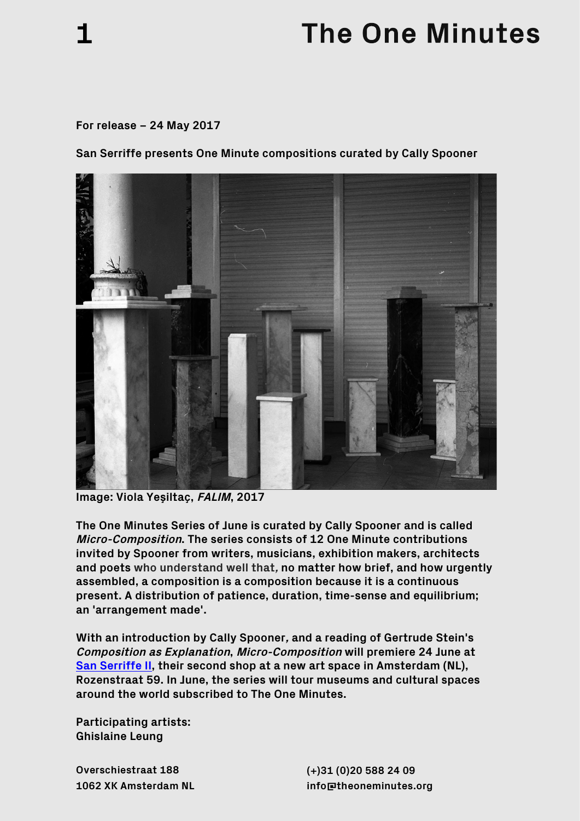## **The One Minutes**

## **For release – 24 May 2017**

**1** 

**San Serriffe presents One Minute compositions curated by Cally Spooner**



**Image: Viola Yeşiltaç, FALIM, 2017**

**The One Minutes Series of June is curated by Cally Spooner and is called Micro-Composition. The series consists of 12 One Minute contributions invited by Spooner from writers, musicians, exhibition makers, architects and poets who understand well that, no matter how brief, and how urgently assembled, a composition is a composition because it is a continuous present. A distribution of patience, duration, time-sense and equilibrium; an 'arrangement made'.**

**With an introduction by Cally Spooner, and a reading of Gertrude Stein's Composition as Explanation, Micro-Composition will premiere 24 June at San Serriffe II, their second shop at a new art space in Amsterdam (NL), Rozenstraat 59. In June, the series will tour museums and cultural spaces around the world subscribed to The One Minutes.**

**Participating artists: Ghislaine Leung** 

**Overschiestraat 188 1062 XK Amsterdam NL**